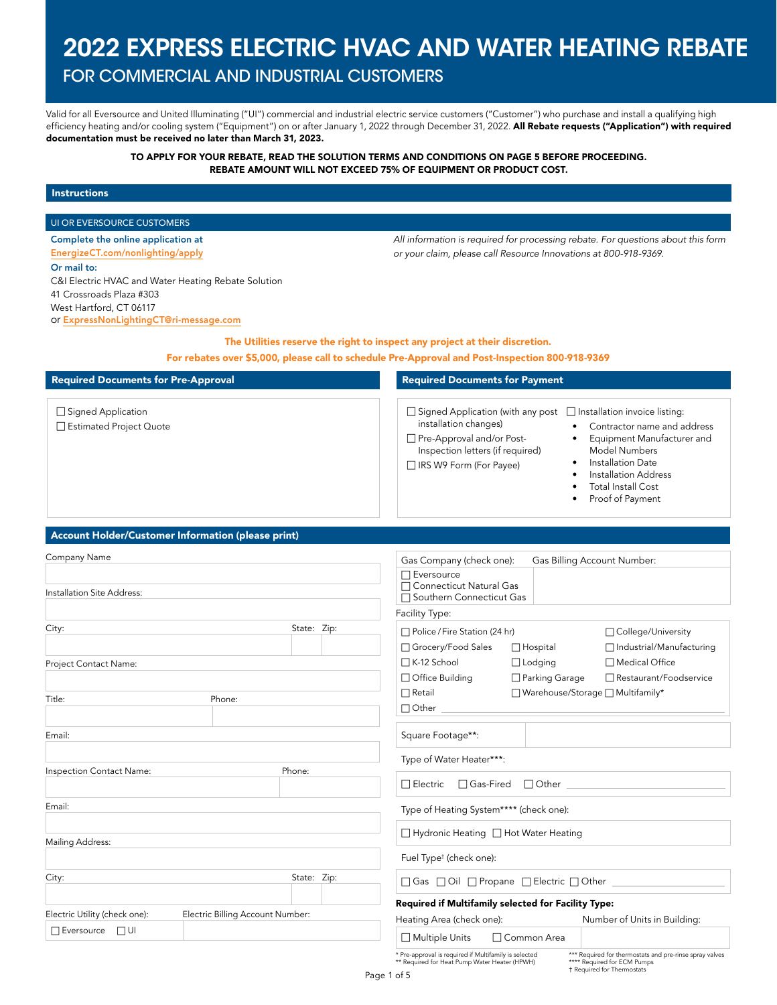# 2022 EXPRESS ELECTRIC HVAC AND WATER HEATING REBATE

## FOR COMMERCIAL AND INDUSTRIAL CUSTOMERS

Valid for all Eversource and United Illuminating ("UI") commercial and industrial electric service customers ("Customer") who purchase and install a qualifying high efficiency heating and/or cooling system ("Equipment") on or after January 1, 2022 through December 31, 2022. All Rebate requests ("Application") with required documentation must be received no later than March 31, 2023.

#### TO APPLY FOR YOUR REBATE, READ THE SOLUTION TERMS AND CONDITIONS ON PAGE 5 BEFORE PROCEEDING. REBATE AMOUNT WILL NOT EXCEED 75% OF EQUIPMENT OR PRODUCT COST.

#### Instructions

#### UI OR EVERSOURCE CUSTOMERS

Complete the online application at [EnergizeCT.com/nonlighting/apply](http://EnergizeCT.com/nonlighting/apply) Or mail to: C&I Electric HVAC and Water Heating Rebate Solution 41 Crossroads Plaza #303 West Hartford, CT 06117 or [ExpressNonLightingCT@ri-message.com](mailto:ExpressNonLightingCT%40ri-message.com?subject=)

*All information is required for processing rebate. For questions about this form or your claim, please call Resource Innovations at 800-918-9369.*

### The Utilities reserve the right to inspect any project at their discretion.

For rebates over \$5,000, please call to schedule Pre-Approval and Post-Inspection 800-918-9369

| <b>Required Documents for Pre-Approval</b>           | <b>Required Documents for Payment</b>                                                                                                                                                                                                                                                                                                                                     |
|------------------------------------------------------|---------------------------------------------------------------------------------------------------------------------------------------------------------------------------------------------------------------------------------------------------------------------------------------------------------------------------------------------------------------------------|
| $\Box$ Signed Application<br>Estimated Project Quote | $\Box$ Signed Application (with any post $\Box$ Installation invoice listing:<br>installation changes)<br>Contractor name and address<br>Pre-Approval and/or Post-<br>Equipment Manufacturer and<br>Inspection letters (if required)<br>Model Numbers<br>Installation Date<br>□ IRS W9 Form (For Payee)<br>Installation Address<br>Total Install Cost<br>Proof of Payment |

#### Account Holder/Customer Information (please print)

| Company Name                  |                                  |             | Gas Company (check one):                                                                               |                     | Gas Billing Account Number:                                                            |
|-------------------------------|----------------------------------|-------------|--------------------------------------------------------------------------------------------------------|---------------------|----------------------------------------------------------------------------------------|
|                               |                                  |             | $\Box$ Eversource                                                                                      |                     |                                                                                        |
| Installation Site Address:    |                                  |             | □ Connecticut Natural Gas<br>□ Southern Connecticut Gas                                                |                     |                                                                                        |
|                               |                                  |             | Facility Type:                                                                                         |                     |                                                                                        |
| City:                         |                                  | State: Zip: | □ Police / Fire Station (24 hr)                                                                        |                     | □ College/University                                                                   |
|                               |                                  |             | □ Grocery/Food Sales                                                                                   | $\Box$ Hospital     | □ Industrial/Manufacturing                                                             |
| Project Contact Name:         |                                  |             | □K-12 School                                                                                           | $\Box$ Lodging      | □ Medical Office                                                                       |
|                               |                                  |             | □ Office Building                                                                                      | □ Parking Garage    | □ Restaurant/Foodservice                                                               |
| Title:                        | Phone:                           |             | $\Box$ Retail                                                                                          |                     | □ Warehouse/Storage □ Multifamily*                                                     |
|                               |                                  |             | $\Box$ Other                                                                                           |                     |                                                                                        |
| Email:                        |                                  |             | Square Footage**:                                                                                      |                     |                                                                                        |
|                               |                                  |             | Type of Water Heater***:                                                                               |                     |                                                                                        |
| Inspection Contact Name:      | Phone:                           |             | □ Gas-Fired<br>$\Box$ Electric                                                                         | $\Box$ Other $\Box$ |                                                                                        |
|                               |                                  |             |                                                                                                        |                     |                                                                                        |
| Email:                        |                                  |             | Type of Heating System**** (check one):                                                                |                     |                                                                                        |
|                               |                                  |             | □ Hydronic Heating □ Hot Water Heating                                                                 |                     |                                                                                        |
| Mailing Address:              |                                  |             | Fuel Type <sup>t</sup> (check one):                                                                    |                     |                                                                                        |
|                               |                                  |             |                                                                                                        |                     |                                                                                        |
| City:                         |                                  | State: Zip: | □ Gas □ Oil □ Propane □ Electric □ Other ____                                                          |                     |                                                                                        |
|                               |                                  |             | Required if Multifamily selected for Facility Type:                                                    |                     |                                                                                        |
| Electric Utility (check one): | Electric Billing Account Number: |             | Heating Area (check one):                                                                              |                     | Number of Units in Building:                                                           |
| □ Eversource □ UI             |                                  |             | □ Multiple Units                                                                                       | □ Common Area       |                                                                                        |
|                               |                                  |             | * Pre-approval is required if Multifamily is selected<br>** Required for Heat Pump Water Heater (HPWH) |                     | *** Required for thermostats and pre-rinse spray valves<br>**** Required for ECM Pumps |

† Required for Thermostats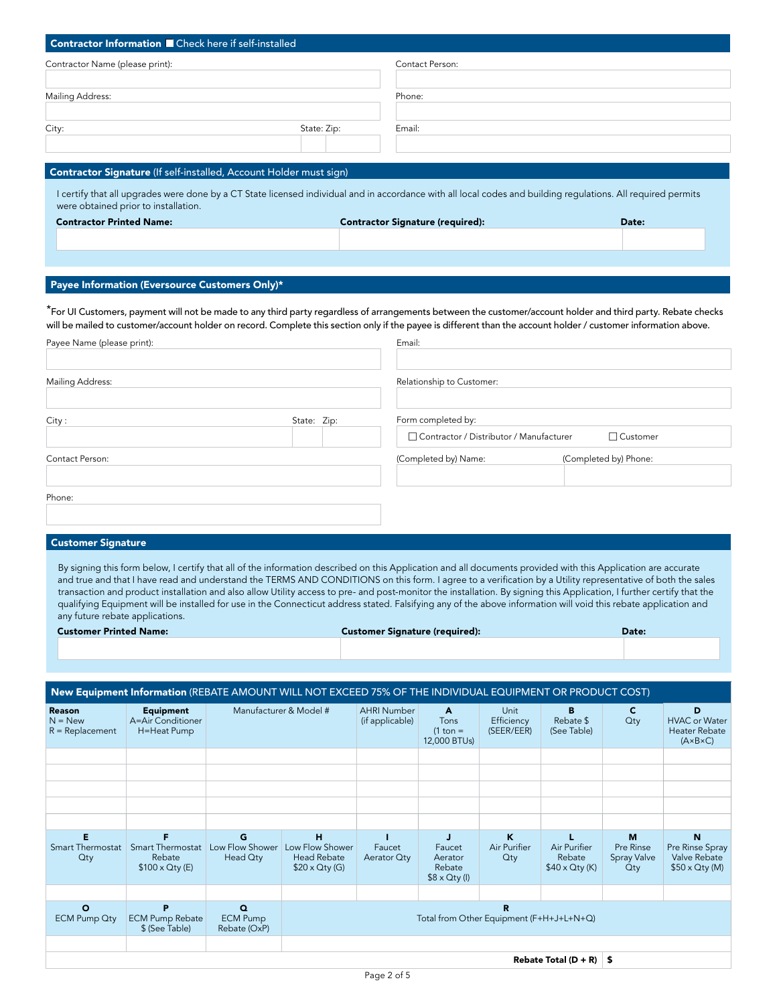| Contractor Information Check here if self-installed                                                                                                                                                   |             |                                         |       |
|-------------------------------------------------------------------------------------------------------------------------------------------------------------------------------------------------------|-------------|-----------------------------------------|-------|
| Contractor Name (please print):                                                                                                                                                                       |             | Contact Person:                         |       |
|                                                                                                                                                                                                       |             |                                         |       |
| Mailing Address:                                                                                                                                                                                      |             | Phone:                                  |       |
| City:                                                                                                                                                                                                 | State: Zip: | Email:                                  |       |
|                                                                                                                                                                                                       |             |                                         |       |
| <b>Contractor Signature</b> (If self-installed, Account Holder must sign)                                                                                                                             |             |                                         |       |
| I certify that all upgrades were done by a CT State licensed individual and in accordance with all local codes and building regulations. All required permits<br>were obtained prior to installation. |             |                                         |       |
| <b>Contractor Printed Name:</b>                                                                                                                                                                       |             | <b>Contractor Signature (required):</b> | Date: |
|                                                                                                                                                                                                       |             |                                         |       |
|                                                                                                                                                                                                       |             |                                         |       |
| Payee Information (Eversource Customers Only)*                                                                                                                                                        |             |                                         |       |

\*For UI Customers, payment will not be made to any third party regardless of arrangements between the customer/account holder and third party. Rebate checks will be mailed to customer/account holder on record. Complete this section only if the payee is different than the account holder / customer information above. Payee Name (please print):

| Payee Name (please print): |             | Email:                                                          |                       |
|----------------------------|-------------|-----------------------------------------------------------------|-----------------------|
| <b>Mailing Address:</b>    |             | Relationship to Customer:                                       |                       |
| City:                      | State: Zip: | Form completed by:<br>□ Contractor / Distributor / Manufacturer | □ Customer            |
| Contact Person:            |             | (Completed by) Name:                                            | (Completed by) Phone: |
| Phone:                     |             |                                                                 |                       |

#### Customer Signature

By signing this form below, I certify that all of the information described on this Application and all documents provided with this Application are accurate and true and that I have read and understand the TERMS AND CONDITIONS on this form. I agree to a verification by a Utility representative of both the sales transaction and product installation and also allow Utility access to pre- and post-monitor the installation. By signing this Application, I further certify that the qualifying Equipment will be installed for use in the Connecticut address stated. Falsifying any of the above information will void this rebate application and any future rebate applications.

| <b>Customer Printed Name:</b> | <b>Customer Signature (required):</b> | <b>Date:</b> |
|-------------------------------|---------------------------------------|--------------|
|                               |                                       |              |

|                                                 | New Equipment Information (REBATE AMOUNT WILL NOT EXCEED 75% OF THE INDIVIDUAL EQUIPMENT OR PRODUCT COST) |                                             |                                                                     |                                       |                                                          |                                  |                                                 |                                         |                                                                       |
|-------------------------------------------------|-----------------------------------------------------------------------------------------------------------|---------------------------------------------|---------------------------------------------------------------------|---------------------------------------|----------------------------------------------------------|----------------------------------|-------------------------------------------------|-----------------------------------------|-----------------------------------------------------------------------|
| <b>Reason</b><br>$N = New$<br>$R = Replacement$ | <b>Equipment</b><br>A=Air Conditioner<br>H=Heat Pump                                                      |                                             | Manufacturer & Model #                                              | <b>AHRI Number</b><br>(if applicable) | A<br><b>Tons</b><br>$(1 \text{ ton} =$<br>12,000 BTUs)   | Unit<br>Efficiency<br>(SEER/EER) | B<br>Rebate \$<br>(See Table)                   | C<br>Qty                                | D<br><b>HVAC</b> or Water<br>Heater Rebate<br>$(A \times B \times C)$ |
|                                                 |                                                                                                           |                                             |                                                                     |                                       |                                                          |                                  |                                                 |                                         |                                                                       |
|                                                 |                                                                                                           |                                             |                                                                     |                                       |                                                          |                                  |                                                 |                                         |                                                                       |
|                                                 |                                                                                                           |                                             |                                                                     |                                       |                                                          |                                  |                                                 |                                         |                                                                       |
|                                                 |                                                                                                           |                                             |                                                                     |                                       |                                                          |                                  |                                                 |                                         |                                                                       |
|                                                 |                                                                                                           |                                             |                                                                     |                                       |                                                          |                                  |                                                 |                                         |                                                                       |
| E<br><b>Smart Thermostat</b><br><b>Qty</b>      | <b>Smart Thermostat</b><br>Rebate<br>$$100 \times Q$ ty (E)                                               | G<br>Low Flow Shower<br>Head Qty            | н<br>Low Flow Shower<br><b>Head Rebate</b><br>$$20 \times Q$ ty (G) | Faucet<br>Aerator Qty                 | л<br>Faucet<br>Aerator<br>Rebate<br>$$8 \times Q$ ty (l) | K<br>Air Purifier<br>Qty         | Air Purifier<br>Rebate<br>$$40 \times Q$ ty (K) | M<br>Pre Rinse<br>Spray Valve<br>$Q$ ty | N<br>Pre Rinse Spray<br>Valve Rebate<br>$$50 \times Q$ ty (M)         |
|                                                 |                                                                                                           |                                             |                                                                     |                                       |                                                          |                                  |                                                 |                                         |                                                                       |
| $\circ$<br><b>ECM Pump Qty</b>                  | P<br><b>ECM Pump Rebate</b><br>\$ (See Table)                                                             | $\Omega$<br><b>ECM Pump</b><br>Rebate (OxP) | R<br>Total from Other Equipment (F+H+J+L+N+Q)                       |                                       |                                                          |                                  |                                                 |                                         |                                                                       |
|                                                 |                                                                                                           |                                             |                                                                     |                                       |                                                          |                                  |                                                 |                                         |                                                                       |
|                                                 |                                                                                                           |                                             |                                                                     |                                       |                                                          |                                  | Rebate Total $(D + R)$ \$                       |                                         |                                                                       |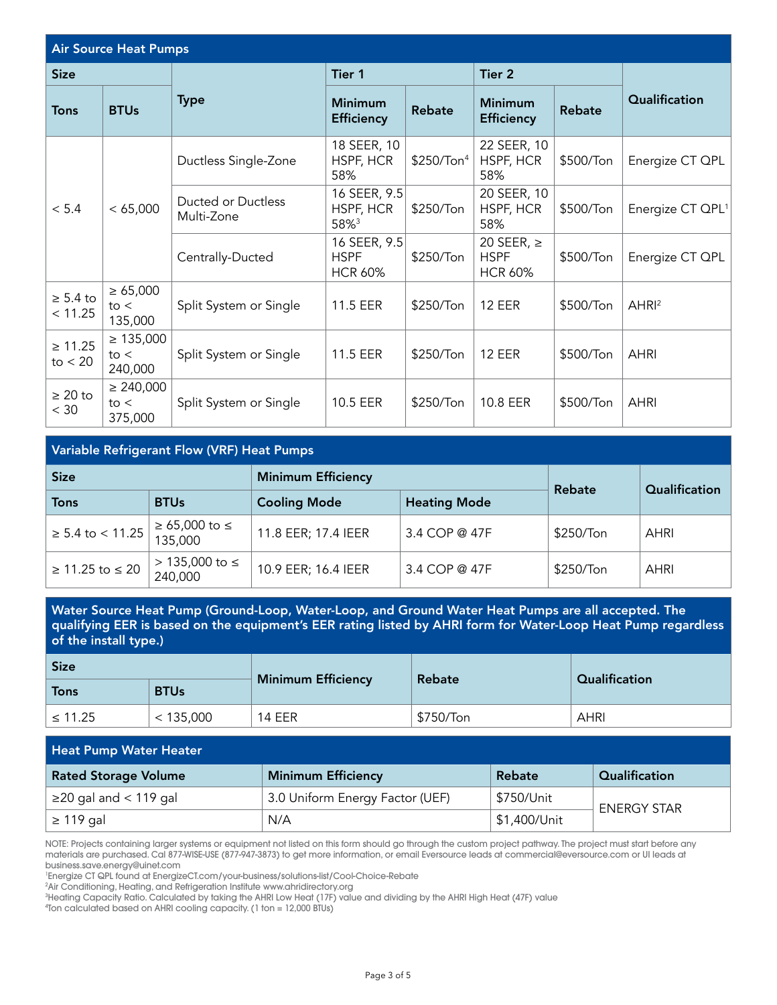| <b>Air Source Heat Pumps</b> |                                   |                                   |                                               |                                 |                                                 |                              |                  |
|------------------------------|-----------------------------------|-----------------------------------|-----------------------------------------------|---------------------------------|-------------------------------------------------|------------------------------|------------------|
| <b>Size</b>                  |                                   |                                   | Tier 1                                        |                                 | Tier 2                                          |                              |                  |
| Tons                         | <b>BTUs</b>                       | <b>Type</b>                       | <b>Minimum</b><br><b>Efficiency</b>           | <b>Rebate</b>                   | <b>Minimum</b><br><b>Efficiency</b>             | <b>Rebate</b>                | Qualification    |
|                              |                                   | Ductless Single-Zone              | 18 SEER, 10<br>HSPF, HCR<br>58%               | \$250/Ton <sup>4</sup>          | 22 SEER, 10<br>HSPF, HCR<br>58%                 | \$500/Ton                    | Energize CT QPL  |
| < 65,000<br>< 5.4            | Ducted or Ductless<br>Multi-Zone  | 16 SEER, 9.5<br>HSPF, HCR<br>58%3 | \$250/Ton                                     | 20 SEER, 10<br>HSPF, HCR<br>58% | \$500/Ton                                       | Energize CT QPL <sup>1</sup> |                  |
|                              |                                   | Centrally-Ducted                  | 16 SEER, 9.5<br><b>HSPF</b><br><b>HCR 60%</b> | \$250/Ton                       | 20 SEER, $\ge$<br><b>HSPF</b><br><b>HCR 60%</b> | \$500/Ton                    | Energize CT QPL  |
| $\geq 5.4$ to<br>< 11.25     | $\geq 65,000$<br>to <<br>135,000  | Split System or Single            | 11.5 EER                                      | \$250/Ton                       | <b>12 EER</b>                                   | \$500/Ton                    | AHR <sup>2</sup> |
| $\geq 11.25$<br>to $< 20$    | $\geq 135,000$<br>to <<br>240,000 | Split System or Single            | 11.5 EER                                      | \$250/Ton                       | <b>12 EER</b>                                   | \$500/Ton                    | <b>AHRI</b>      |
| $\geq 20$ to<br>< 30         | $\geq 240,000$<br>to <<br>375,000 | Split System or Single            | 10.5 EER                                      | \$250/Ton                       | 10.8 EER                                        | \$500/Ton                    | <b>AHRI</b>      |

| <b>Size</b>           |                           | <b>Minimum Efficiency</b> | Rebate              | Qualification |             |
|-----------------------|---------------------------|---------------------------|---------------------|---------------|-------------|
| <b>Tons</b>           | <b>BTUs</b>               | <b>Cooling Mode</b>       | <b>Heating Mode</b> |               |             |
| $\geq 5.4$ to < 11.25 | ≥ 65,000 to ≤<br>⊺135,000 | 11.8 EER; 17.4 IEER       | 3.4 COP @ 47F       | \$250/Ton     | <b>AHRI</b> |
| $≥ 11.25$ to $≤ 20$   | > 135,000 to ≤<br>240,000 | 10.9 EER; 16.4 IEER       | 3.4 COP @ 47F       | \$250/Ton     | <b>AHRI</b> |

Water Source Heat Pump (Ground-Loop, Water-Loop, and Ground Water Heat Pumps are all accepted. The qualifying EER is based on the equipment's EER rating listed by AHRI form for Water-Loop Heat Pump regardless of the install type.)

| <b>Size</b>  |             | <b>Minimum Efficiency</b> | Rebate    | Qualification |  |
|--------------|-------------|---------------------------|-----------|---------------|--|
| Tons         | <b>BTUs</b> |                           |           |               |  |
| $\leq 11.25$ | < 135,000   | <b>14 EER</b>             | \$750/Ton | <b>AHRI</b>   |  |

| <b>Heat Pump Water Heater</b> |                                 |              |                      |  |  |
|-------------------------------|---------------------------------|--------------|----------------------|--|--|
| <b>Rated Storage Volume</b>   | <b>Minimum Efficiency</b>       | Rebate       | <b>Qualification</b> |  |  |
| $\geq$ 20 gal and < 119 gal   | 3.0 Uniform Energy Factor (UEF) | \$750/Unit   | <b>ENERGY STAR</b>   |  |  |
| $\geq$ 119 gal                | N/A                             | \$1,400/Unit |                      |  |  |

NOTE: Projects containing larger systems or equipment not listed on this form should go through the custom project pathway. The project must start before any materials are purchased. Cal 877-WISE-USE (877-947-3873) to get more information, or email Eversource leads at commercial@eversource.com or UI leads at business.save.energy@uinet.com

1 Energize CT QPL found at EnergizeCT.com/your-business/solutions-list/Cool-Choice-Rebate

2 Air Conditioning, Heating, and Refrigeration Institute www.ahridirectory.org

3 Heating Capacity Ratio. Calculated by taking the AHRI Low Heat (17F) value and dividing by the AHRI High Heat (47F) value

4 Ton calculated based on AHRI cooling capacity. (1 ton = 12,000 BTUs)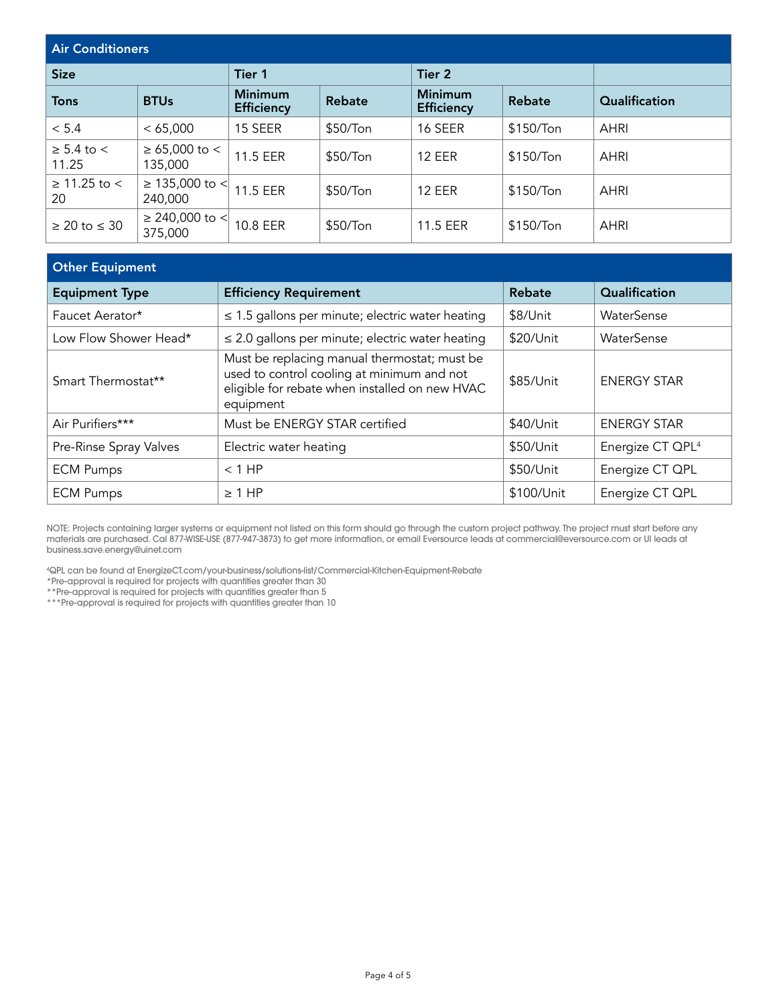| <b>Air Conditioners</b>      |                                |                                     |                      |                                     |               |               |  |
|------------------------------|--------------------------------|-------------------------------------|----------------------|-------------------------------------|---------------|---------------|--|
| <b>Size</b>                  |                                | Tier 1                              |                      | Tier 2                              |               |               |  |
| <b>Tons</b>                  | <b>BTUs</b>                    | <b>Minimum</b><br><b>Efficiency</b> | <b>Rebate</b>        | <b>Minimum</b><br><b>Efficiency</b> | <b>Rebate</b> | Qualification |  |
| < 5.4                        | < 65,000                       | 15 SEER                             | $$50/T$ on           | 16 SEER                             | \$150/Ton     | <b>AHRI</b>   |  |
| $\geq$ 5.4 to $\lt$<br>11.25 | $\ge 65,000$ to <<br>135,000   | 11.5 EER                            | \$50/T <sub>on</sub> | <b>12 EER</b>                       | \$150/Ton     | <b>AHRI</b>   |  |
| $\geq$ 11.25 to $\lt$<br>20  | ≥ 135,000 to <<br>240,000      | 11.5 EER                            | \$50/T <sub>on</sub> | <b>12 EER</b>                       | \$150/Ton     | <b>AHRI</b>   |  |
| $\geq 20$ to $\leq 30$       | $\geq$ 240,000 to <<br>375,000 | 10.8 EER                            | \$50/T <sub>on</sub> | 11.5 EER                            | \$150/Ton     | <b>AHRI</b>   |  |

| <b>Other Equipment</b>                                                                                                                                    |            |                              |
|-----------------------------------------------------------------------------------------------------------------------------------------------------------|------------|------------------------------|
| <b>Efficiency Requirement</b>                                                                                                                             | Rebate     | Qualification                |
| $\leq$ 1.5 gallons per minute; electric water heating                                                                                                     | \$8/Unit   | WaterSense                   |
| $\leq$ 2.0 gallons per minute; electric water heating                                                                                                     | \$20/Unit  | WaterSense                   |
| Must be replacing manual thermostat; must be<br>used to control cooling at minimum and not<br>eligible for rebate when installed on new HVAC<br>equipment | \$85/Unit  | <b>ENERGY STAR</b>           |
| Must be ENERGY STAR certified                                                                                                                             | \$40/Unit  | <b>ENERGY STAR</b>           |
| Electric water heating                                                                                                                                    | \$50/Unit  | Energize CT QPL <sup>4</sup> |
| $<$ 1 HP                                                                                                                                                  | \$50/Unit  | Energize CT QPL              |
| $\geq 1$ HP                                                                                                                                               | \$100/Unit | Energize CT QPL              |
|                                                                                                                                                           |            |                              |

NOTE: Projects containing larger systems or equipment not listed on this form should go through the custom project pathway. The project must start before any materials are purchased. Cal 877-WISE-USE (877-947-3873) to get more information, or email Eversource leads at commercial@eversource.com or UI leads at business.save.energy@uinet.com

4 QPL can be found at EnergizeCT.com/your-business/solutions-list/Commercial-Kitchen-Equipment-Rebate

\*Pre-approval is required for projects with quantities greater than 30

\*\*Pre-approval is required for projects with quantities greater than 5

\*\*\*Pre-approval is required for projects with quantities greater than 10